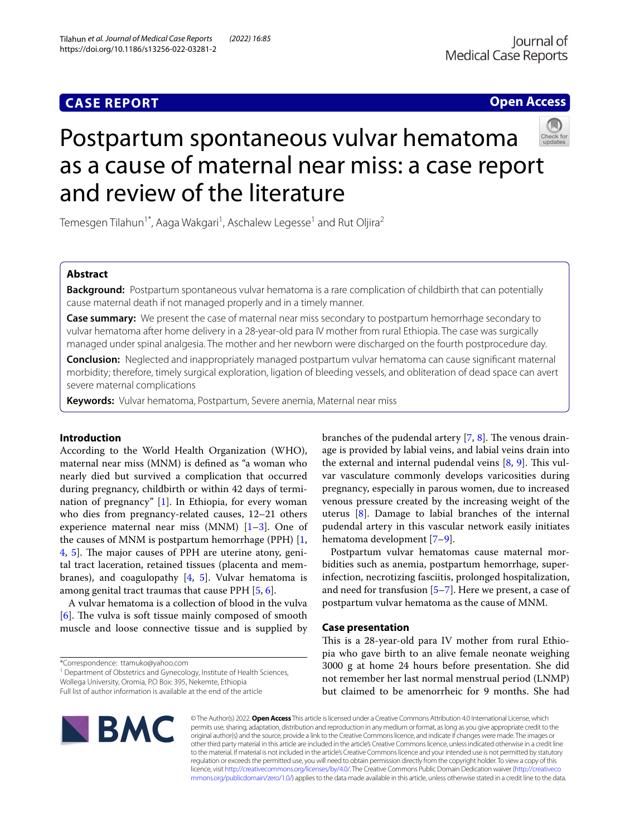## **CASE REPORT**

**Open Access**

# Postpartum spontaneous vulvar hematoma as a cause of maternal near miss: a case report and review of the literature

Temesgen Tilahun<sup>1\*</sup>, Aaga Wakgari<sup>1</sup>, Aschalew Legesse<sup>1</sup> and Rut Oljira<sup>2</sup>

## **Abstract**

**Background:** Postpartum spontaneous vulvar hematoma is a rare complication of childbirth that can potentially cause maternal death if not managed properly and in a timely manner.

**Case summary:** We present the case of maternal near miss secondary to postpartum hemorrhage secondary to vulvar hematoma after home delivery in a 28-year-old para IV mother from rural Ethiopia. The case was surgically managed under spinal analgesia. The mother and her newborn were discharged on the fourth postprocedure day.

**Conclusion:** Neglected and inappropriately managed postpartum vulvar hematoma can cause signifcant maternal morbidity; therefore, timely surgical exploration, ligation of bleeding vessels, and obliteration of dead space can avert severe maternal complications

**Keywords:** Vulvar hematoma, Postpartum, Severe anemia, Maternal near miss

## **Introduction**

According to the World Health Organization (WHO), maternal near miss (MNM) is defned as "a woman who nearly died but survived a complication that occurred during pregnancy, childbirth or within 42 days of termination of pregnancy" [\[1](#page-3-0)]. In Ethiopia, for every woman who dies from pregnancy-related causes, 12–21 others experience maternal near miss (MNM)  $[1-3]$  $[1-3]$ . One of the causes of MNM is postpartum hemorrhage (PPH)  $[1, 1]$  $[1, 1]$ [4,](#page-3-2) [5](#page-3-3)]. The major causes of PPH are uterine atony, genital tract laceration, retained tissues (placenta and membranes), and coagulopathy  $[4, 5]$  $[4, 5]$  $[4, 5]$  $[4, 5]$ . Vulvar hematoma is among genital tract traumas that cause PPH [[5](#page-3-3), [6\]](#page-3-4).

A vulvar hematoma is a collection of blood in the vulva  $[6]$  $[6]$ . The vulva is soft tissue mainly composed of smooth muscle and loose connective tissue and is supplied by

\*Correspondence: ttamuko@yahoo.com

<sup>1</sup> Department of Obstetrics and Gynecology, Institute of Health Sciences, Wollega University, Oromia, P.O Box: 395, Nekemte, Ethiopia

branches of the pudendal artery  $[7, 8]$  $[7, 8]$  $[7, 8]$  $[7, 8]$ . The venous drainage is provided by labial veins, and labial veins drain into the external and internal pudendal veins  $[8, 9]$  $[8, 9]$  $[8, 9]$  $[8, 9]$ . This vulvar vasculature commonly develops varicosities during pregnancy, especially in parous women, due to increased venous pressure created by the increasing weight of the uterus [[8\]](#page-3-6). Damage to labial branches of the internal pudendal artery in this vascular network easily initiates hematoma development [\[7](#page-3-5)–[9\]](#page-3-7).

Postpartum vulvar hematomas cause maternal morbidities such as anemia, postpartum hemorrhage, superinfection, necrotizing fasciitis, prolonged hospitalization, and need for transfusion  $[5-7]$  $[5-7]$ . Here we present, a case of postpartum vulvar hematoma as the cause of MNM.

#### **Case presentation**

This is a 28-year-old para IV mother from rural Ethiopia who gave birth to an alive female neonate weighing 3000 g at home 24 hours before presentation. She did not remember her last normal menstrual period (LNMP) but claimed to be amenorrheic for 9 months. She had



© The Author(s) 2022. **Open Access** This article is licensed under a Creative Commons Attribution 4.0 International License, which permits use, sharing, adaptation, distribution and reproduction in any medium or format, as long as you give appropriate credit to the original author(s) and the source, provide a link to the Creative Commons licence, and indicate if changes were made. The images or other third party material in this article are included in the article's Creative Commons licence, unless indicated otherwise in a credit line to the material. If material is not included in the article's Creative Commons licence and your intended use is not permitted by statutory regulation or exceeds the permitted use, you will need to obtain permission directly from the copyright holder. To view a copy of this licence, visit [http://creativecommons.org/licenses/by/4.0/.](http://creativecommons.org/licenses/by/4.0/) The Creative Commons Public Domain Dedication waiver ([http://creativeco](http://creativecommons.org/publicdomain/zero/1.0/) [mmons.org/publicdomain/zero/1.0/](http://creativecommons.org/publicdomain/zero/1.0/)) applies to the data made available in this article, unless otherwise stated in a credit line to the data.

Full list of author information is available at the end of the article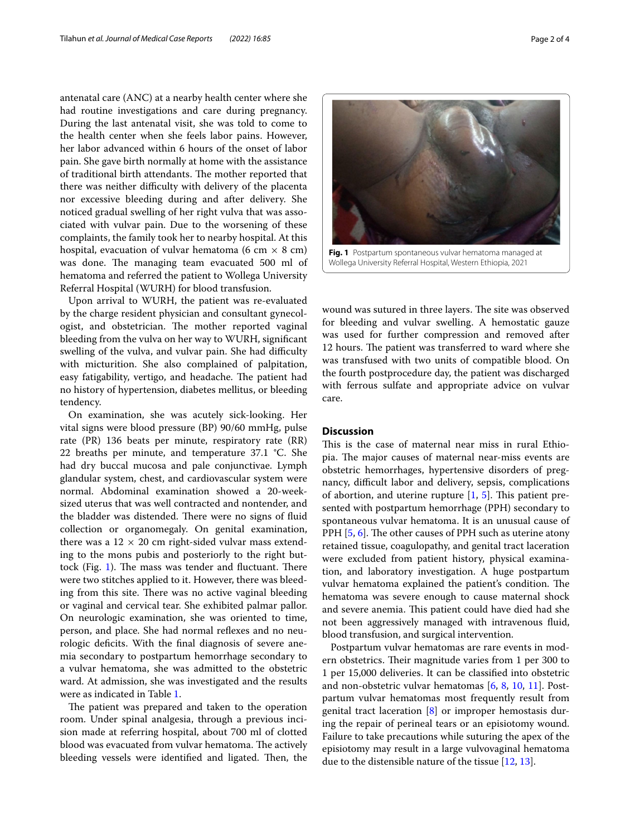antenatal care (ANC) at a nearby health center where she had routine investigations and care during pregnancy. During the last antenatal visit, she was told to come to the health center when she feels labor pains. However, her labor advanced within 6 hours of the onset of labor pain. She gave birth normally at home with the assistance of traditional birth attendants. The mother reported that there was neither difficulty with delivery of the placenta nor excessive bleeding during and after delivery. She noticed gradual swelling of her right vulva that was associated with vulvar pain. Due to the worsening of these complaints, the family took her to nearby hospital. At this hospital, evacuation of vulvar hematoma (6 cm  $\times$  8 cm) was done. The managing team evacuated 500 ml of hematoma and referred the patient to Wollega University Referral Hospital (WURH) for blood transfusion.

Upon arrival to WURH, the patient was re-evaluated by the charge resident physician and consultant gynecologist, and obstetrician. The mother reported vaginal bleeding from the vulva on her way to WURH, signifcant swelling of the vulva, and vulvar pain. She had difficulty with micturition. She also complained of palpitation, easy fatigability, vertigo, and headache. The patient had no history of hypertension, diabetes mellitus, or bleeding tendency.

On examination, she was acutely sick-looking. Her vital signs were blood pressure (BP) 90/60 mmHg, pulse rate (PR) 136 beats per minute, respiratory rate (RR) 22 breaths per minute, and temperature 37.1 °C. She had dry buccal mucosa and pale conjunctivae. Lymph glandular system, chest, and cardiovascular system were normal. Abdominal examination showed a 20-weeksized uterus that was well contracted and nontender, and the bladder was distended. There were no signs of fluid collection or organomegaly. On genital examination, there was a  $12 \times 20$  cm right-sided vulvar mass extending to the mons pubis and posteriorly to the right but-tock (Fig. [1](#page-1-0)). The mass was tender and fluctuant. There were two stitches applied to it. However, there was bleeding from this site. There was no active vaginal bleeding or vaginal and cervical tear. She exhibited palmar pallor. On neurologic examination, she was oriented to time, person, and place. She had normal refexes and no neurologic deficits. With the final diagnosis of severe anemia secondary to postpartum hemorrhage secondary to a vulvar hematoma, she was admitted to the obstetric ward. At admission, she was investigated and the results were as indicated in Table [1](#page-2-0).

The patient was prepared and taken to the operation room. Under spinal analgesia, through a previous incision made at referring hospital, about 700 ml of clotted blood was evacuated from vulvar hematoma. The actively bleeding vessels were identified and ligated. Then, the

<span id="page-1-0"></span>wound was sutured in three layers. The site was observed for bleeding and vulvar swelling. A hemostatic gauze was used for further compression and removed after 12 hours. The patient was transferred to ward where she was transfused with two units of compatible blood. On the fourth postprocedure day, the patient was discharged with ferrous sulfate and appropriate advice on vulvar care.

#### **Discussion**

This is the case of maternal near miss in rural Ethiopia. The major causes of maternal near-miss events are obstetric hemorrhages, hypertensive disorders of pregnancy, difficult labor and delivery, sepsis, complications of abortion, and uterine rupture  $[1, 5]$  $[1, 5]$  $[1, 5]$  $[1, 5]$ . This patient presented with postpartum hemorrhage (PPH) secondary to spontaneous vulvar hematoma. It is an unusual cause of PPH  $[5, 6]$  $[5, 6]$  $[5, 6]$  $[5, 6]$ . The other causes of PPH such as uterine atony retained tissue, coagulopathy, and genital tract laceration were excluded from patient history, physical examination, and laboratory investigation. A huge postpartum vulvar hematoma explained the patient's condition. The hematoma was severe enough to cause maternal shock and severe anemia. This patient could have died had she not been aggressively managed with intravenous fuid, blood transfusion, and surgical intervention.

Postpartum vulvar hematomas are rare events in modern obstetrics. Their magnitude varies from 1 per 300 to 1 per 15,000 deliveries. It can be classifed into obstetric and non-obstetric vulvar hematomas [[6,](#page-3-4) [8,](#page-3-6) [10](#page-3-8), [11](#page-3-9)]. Postpartum vulvar hematomas most frequently result from genital tract laceration [[8\]](#page-3-6) or improper hemostasis during the repair of perineal tears or an episiotomy wound. Failure to take precautions while suturing the apex of the episiotomy may result in a large vulvovaginal hematoma due to the distensible nature of the tissue [\[12,](#page-3-10) [13](#page-3-11)].

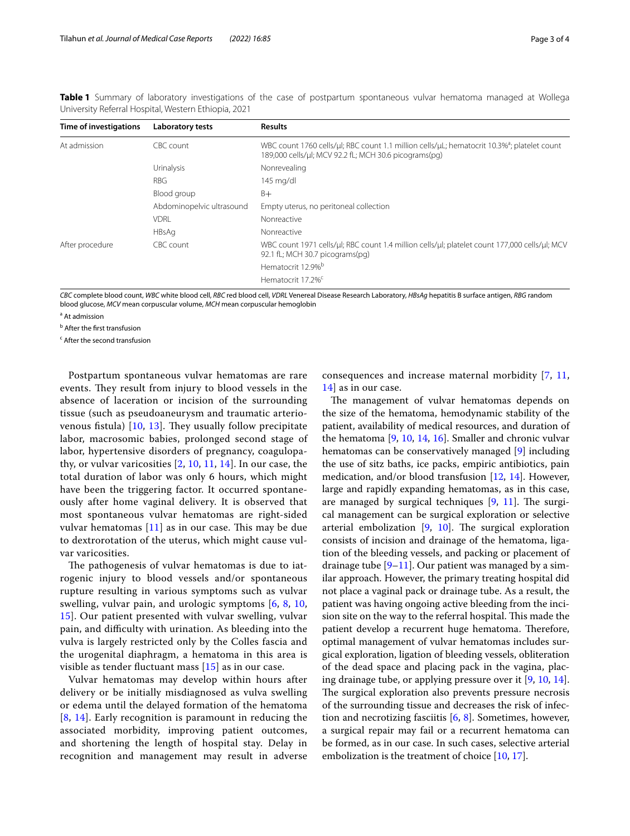<span id="page-2-0"></span>

|  | Table 1 Summary of laboratory investigations of the case of postpartum spontaneous vulvar hematoma managed at Wollega |  |  |  |  |  |
|--|-----------------------------------------------------------------------------------------------------------------------|--|--|--|--|--|
|  | University Referral Hospital, Western Ethiopia, 2021                                                                  |  |  |  |  |  |

| Time of investigations | <b>Laboratory tests</b>   | <b>Results</b>                                                                                                                                                               |  |  |  |  |  |  |
|------------------------|---------------------------|------------------------------------------------------------------------------------------------------------------------------------------------------------------------------|--|--|--|--|--|--|
| At admission           | CBC count                 | WBC count 1760 cells/ $\mu$ l; RBC count 1.1 million cells/ $\mu$ L; hematocrit 10.3% <sup>3</sup> ; platelet count<br>189,000 cells/ul; MCV 92.2 fL; MCH 30.6 picograms(pg) |  |  |  |  |  |  |
|                        | <b>Urinalysis</b>         | Nonrevealing                                                                                                                                                                 |  |  |  |  |  |  |
|                        | <b>RBG</b>                | $145$ mg/dl                                                                                                                                                                  |  |  |  |  |  |  |
|                        | Blood group               | B+                                                                                                                                                                           |  |  |  |  |  |  |
|                        | Abdominopelvic ultrasound | Empty uterus, no peritoneal collection                                                                                                                                       |  |  |  |  |  |  |
|                        | <b>VDRI</b>               | Nonreactive                                                                                                                                                                  |  |  |  |  |  |  |
|                        | HBsAg                     | Nonreactive                                                                                                                                                                  |  |  |  |  |  |  |
| After procedure        | CBC count                 | WBC count 1971 cells/ul; RBC count 1.4 million cells/ul; platelet count 177,000 cells/ul; MCV<br>92.1 fL; MCH 30.7 picograms(pg)                                             |  |  |  |  |  |  |
|                        |                           | Hematocrit 12.9% <sup>b</sup>                                                                                                                                                |  |  |  |  |  |  |
|                        |                           | Hematocrit 17.2% <sup>c</sup>                                                                                                                                                |  |  |  |  |  |  |

*CBC* complete blood count, *WBC* white blood cell, *RBC* red blood cell, *VDRL* Venereal Disease Research Laboratory, *HBsAg* hepatitis B surface antigen, *RBG* random blood glucose, *MCV* mean corpuscular volume, *MCH* mean corpuscular hemoglobin

<sup>a</sup> At admission

<sup>b</sup> After the first transfusion

<sup>c</sup> After the second transfusion

Postpartum spontaneous vulvar hematomas are rare events. They result from injury to blood vessels in the absence of laceration or incision of the surrounding tissue (such as pseudoaneurysm and traumatic arteriovenous fistula)  $[10, 13]$  $[10, 13]$  $[10, 13]$  $[10, 13]$ . They usually follow precipitate labor, macrosomic babies, prolonged second stage of labor, hypertensive disorders of pregnancy, coagulopathy, or vulvar varicosities  $[2, 10, 11, 14]$  $[2, 10, 11, 14]$  $[2, 10, 11, 14]$  $[2, 10, 11, 14]$  $[2, 10, 11, 14]$  $[2, 10, 11, 14]$  $[2, 10, 11, 14]$  $[2, 10, 11, 14]$ . In our case, the total duration of labor was only 6 hours, which might have been the triggering factor. It occurred spontaneously after home vaginal delivery. It is observed that most spontaneous vulvar hematomas are right-sided vulvar hematomas  $[11]$  $[11]$  as in our case. This may be due to dextrorotation of the uterus, which might cause vulvar varicosities.

The pathogenesis of vulvar hematomas is due to iatrogenic injury to blood vessels and/or spontaneous rupture resulting in various symptoms such as vulvar swelling, vulvar pain, and urologic symptoms [[6](#page-3-4), [8,](#page-3-6) [10](#page-3-8), [15\]](#page-3-14). Our patient presented with vulvar swelling, vulvar pain, and difculty with urination. As bleeding into the vulva is largely restricted only by the Colles fascia and the urogenital diaphragm, a hematoma in this area is visible as tender fuctuant mass [[15](#page-3-14)] as in our case.

Vulvar hematomas may develop within hours after delivery or be initially misdiagnosed as vulva swelling or edema until the delayed formation of the hematoma [[8](#page-3-6), [14\]](#page-3-13). Early recognition is paramount in reducing the associated morbidity, improving patient outcomes, and shortening the length of hospital stay. Delay in recognition and management may result in adverse consequences and increase maternal morbidity [[7](#page-3-5), [11](#page-3-9), [14\]](#page-3-13) as in our case.

The management of vulvar hematomas depends on the size of the hematoma, hemodynamic stability of the patient, availability of medical resources, and duration of the hematoma [[9,](#page-3-7) [10,](#page-3-8) [14,](#page-3-13) [16](#page-3-15)]. Smaller and chronic vulvar hematomas can be conservatively managed [\[9](#page-3-7)] including the use of sitz baths, ice packs, empiric antibiotics, pain medication, and/or blood transfusion [\[12](#page-3-10), [14](#page-3-13)]. However, large and rapidly expanding hematomas, as in this case, are managed by surgical techniques  $[9, 11]$  $[9, 11]$  $[9, 11]$ . The surgical management can be surgical exploration or selective arterial embolization  $[9, 10]$  $[9, 10]$  $[9, 10]$  $[9, 10]$ . The surgical exploration consists of incision and drainage of the hematoma, ligation of the bleeding vessels, and packing or placement of drainage tube  $[9-11]$  $[9-11]$ . Our patient was managed by a similar approach. However, the primary treating hospital did not place a vaginal pack or drainage tube. As a result, the patient was having ongoing active bleeding from the incision site on the way to the referral hospital. This made the patient develop a recurrent huge hematoma. Therefore, optimal management of vulvar hematomas includes surgical exploration, ligation of bleeding vessels, obliteration of the dead space and placing pack in the vagina, placing drainage tube, or applying pressure over it [[9,](#page-3-7) [10,](#page-3-8) [14](#page-3-13)]. The surgical exploration also prevents pressure necrosis of the surrounding tissue and decreases the risk of infection and necrotizing fasciitis [\[6](#page-3-4), [8](#page-3-6)]. Sometimes, however, a surgical repair may fail or a recurrent hematoma can be formed, as in our case. In such cases, selective arterial embolization is the treatment of choice [[10,](#page-3-8) [17](#page-3-16)].